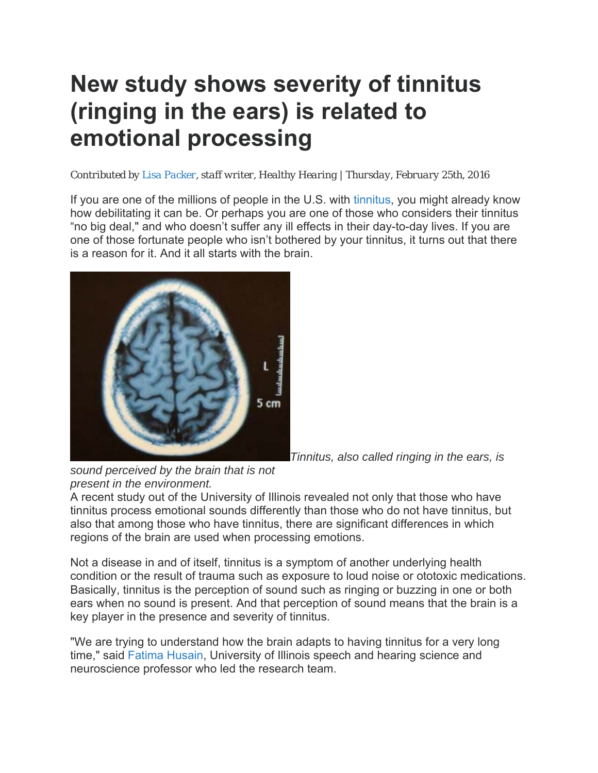## **New study shows severity of tinnitus (ringing in the ears) is related to emotional processing**

## *Contributed by Lisa Packer, staff writer, Healthy Hearing | Thursday, February 25th, 2016*

If you are one of the millions of people in the U.S. with tinnitus, you might already know how debilitating it can be. Or perhaps you are one of those who considers their tinnitus "no big deal," and who doesn't suffer any ill effects in their day-to-day lives. If you are one of those fortunate people who isn't bothered by your tinnitus, it turns out that there is a reason for it. And it all starts with the brain.



*Tinnitus, also called ringing in the ears, is* 

*sound perceived by the brain that is not present in the environment.*

A recent study out of the University of Illinois revealed not only that those who have tinnitus process emotional sounds differently than those who do not have tinnitus, but also that among those who have tinnitus, there are significant differences in which regions of the brain are used when processing emotions.

Not a disease in and of itself, tinnitus is a symptom of another underlying health condition or the result of trauma such as exposure to loud noise or ototoxic medications. Basically, tinnitus is the perception of sound such as ringing or buzzing in one or both ears when no sound is present. And that perception of sound means that the brain is a key player in the presence and severity of tinnitus.

"We are trying to understand how the brain adapts to having tinnitus for a very long time," said Fatima Husain, University of Illinois speech and hearing science and neuroscience professor who led the research team.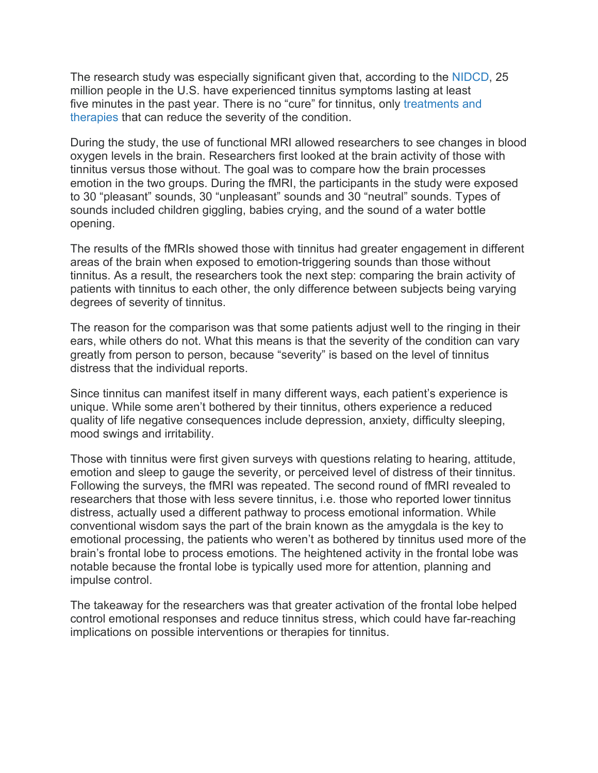The research study was especially significant given that, according to the NIDCD, 25 million people in the U.S. have experienced tinnitus symptoms lasting at least five minutes in the past year. There is no "cure" for tinnitus, only treatments and therapies that can reduce the severity of the condition.

During the study, the use of functional MRI allowed researchers to see changes in blood oxygen levels in the brain. Researchers first looked at the brain activity of those with tinnitus versus those without. The goal was to compare how the brain processes emotion in the two groups. During the fMRI, the participants in the study were exposed to 30 "pleasant" sounds, 30 "unpleasant" sounds and 30 "neutral" sounds. Types of sounds included children giggling, babies crying, and the sound of a water bottle opening.

The results of the fMRIs showed those with tinnitus had greater engagement in different areas of the brain when exposed to emotion-triggering sounds than those without tinnitus. As a result, the researchers took the next step: comparing the brain activity of patients with tinnitus to each other, the only difference between subjects being varying degrees of severity of tinnitus.

The reason for the comparison was that some patients adjust well to the ringing in their ears, while others do not. What this means is that the severity of the condition can vary greatly from person to person, because "severity" is based on the level of tinnitus distress that the individual reports.

Since tinnitus can manifest itself in many different ways, each patient's experience is unique. While some aren't bothered by their tinnitus, others experience a reduced quality of life negative consequences include depression, anxiety, difficulty sleeping, mood swings and irritability.

Those with tinnitus were first given surveys with questions relating to hearing, attitude, emotion and sleep to gauge the severity, or perceived level of distress of their tinnitus. Following the surveys, the fMRI was repeated. The second round of fMRI revealed to researchers that those with less severe tinnitus, i.e. those who reported lower tinnitus distress, actually used a different pathway to process emotional information. While conventional wisdom says the part of the brain known as the amygdala is the key to emotional processing, the patients who weren't as bothered by tinnitus used more of the brain's frontal lobe to process emotions. The heightened activity in the frontal lobe was notable because the frontal lobe is typically used more for attention, planning and impulse control.

The takeaway for the researchers was that greater activation of the frontal lobe helped control emotional responses and reduce tinnitus stress, which could have far-reaching implications on possible interventions or therapies for tinnitus.